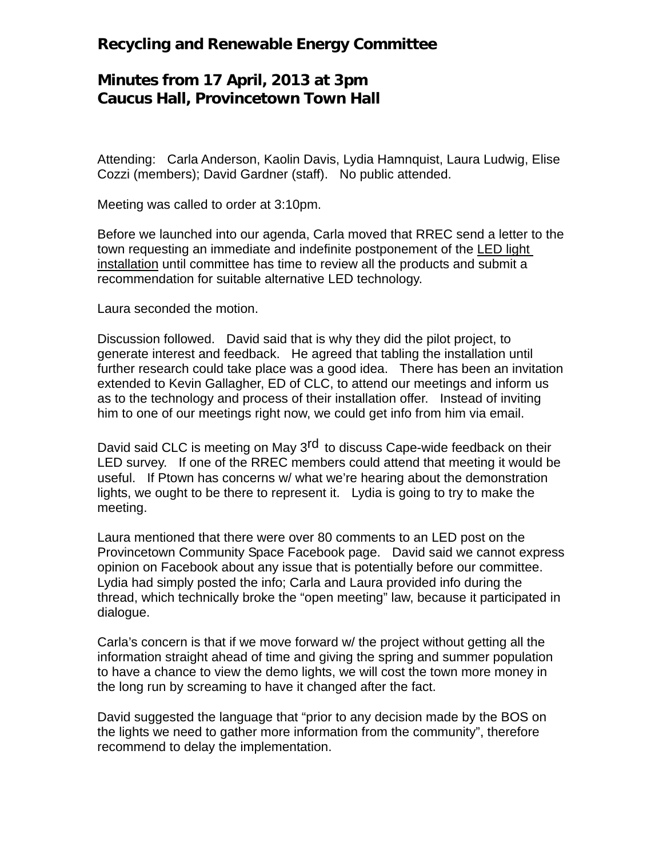## **Recycling and Renewable Energy Committee**

## **Minutes from 17 April, 2013 at 3pm Caucus Hall, Provincetown Town Hall**

Attending: Carla Anderson, Kaolin Davis, Lydia Hamnquist, Laura Ludwig, Elise Cozzi (members); David Gardner (staff). No public attended.

Meeting was called to order at 3:10pm.

Before we launched into our agenda, Carla moved that RREC send a letter to the town requesting an immediate and indefinite postponement of the LED light installation until committee has time to review all the products and submit a recommendation for suitable alternative LED technology.

Laura seconded the motion.

Discussion followed. David said that is why they did the pilot project, to generate interest and feedback. He agreed that tabling the installation until further research could take place was a good idea. There has been an invitation extended to Kevin Gallagher, ED of CLC, to attend our meetings and inform us as to the technology and process of their installation offer. Instead of inviting him to one of our meetings right now, we could get info from him via email.

David said CLC is meeting on May 3<sup>rd</sup> to discuss Cape-wide feedback on their LED survey. If one of the RREC members could attend that meeting it would be useful. If Ptown has concerns w/ what we're hearing about the demonstration lights, we ought to be there to represent it. Lydia is going to try to make the meeting.

Laura mentioned that there were over 80 comments to an LED post on the Provincetown Community Space Facebook page. David said we cannot express opinion on Facebook about any issue that is potentially before our committee. Lydia had simply posted the info; Carla and Laura provided info during the thread, which technically broke the "open meeting" law, because it participated in dialogue.

Carla's concern is that if we move forward w/ the project without getting all the information straight ahead of time and giving the spring and summer population to have a chance to view the demo lights, we will cost the town more money in the long run by screaming to have it changed after the fact.

David suggested the language that "prior to any decision made by the BOS on the lights we need to gather more information from the community", therefore recommend to delay the implementation.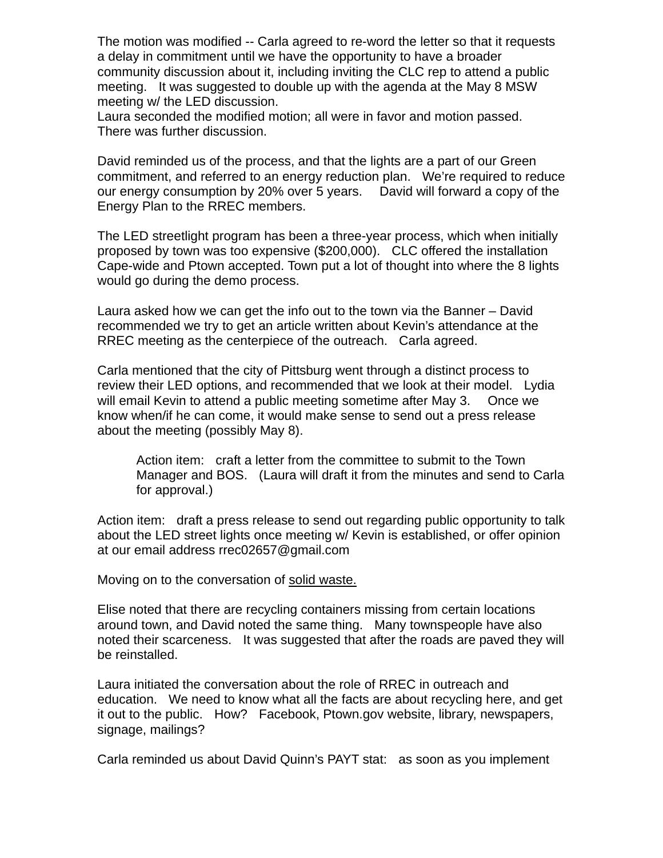The motion was modified -- Carla agreed to re-word the letter so that it requests a delay in commitment until we have the opportunity to have a broader community discussion about it, including inviting the CLC rep to attend a public meeting. It was suggested to double up with the agenda at the May 8 MSW meeting w/ the LED discussion.

Laura seconded the modified motion; all were in favor and motion passed. There was further discussion.

David reminded us of the process, and that the lights are a part of our Green commitment, and referred to an energy reduction plan. We're required to reduce our energy consumption by 20% over 5 years. David will forward a copy of the Energy Plan to the RREC members.

The LED streetlight program has been a three-year process, which when initially proposed by town was too expensive (\$200,000). CLC offered the installation Cape-wide and Ptown accepted. Town put a lot of thought into where the 8 lights would go during the demo process.

Laura asked how we can get the info out to the town via the Banner – David recommended we try to get an article written about Kevin's attendance at the RREC meeting as the centerpiece of the outreach. Carla agreed.

Carla mentioned that the city of Pittsburg went through a distinct process to review their LED options, and recommended that we look at their model. Lydia will email Kevin to attend a public meeting sometime after May 3. Once we know when/if he can come, it would make sense to send out a press release about the meeting (possibly May 8).

Action item: craft a letter from the committee to submit to the Town Manager and BOS. (Laura will draft it from the minutes and send to Carla for approval.)

Action item: draft a press release to send out regarding public opportunity to talk about the LED street lights once meeting w/ Kevin is established, or offer opinion at our email address rrec02657@gmail.com

Moving on to the conversation of solid waste.

Elise noted that there are recycling containers missing from certain locations around town, and David noted the same thing. Many townspeople have also noted their scarceness. It was suggested that after the roads are paved they will be reinstalled.

Laura initiated the conversation about the role of RREC in outreach and education. We need to know what all the facts are about recycling here, and get it out to the public. How? Facebook, Ptown.gov website, library, newspapers, signage, mailings?

Carla reminded us about David Quinn's PAYT stat: as soon as you implement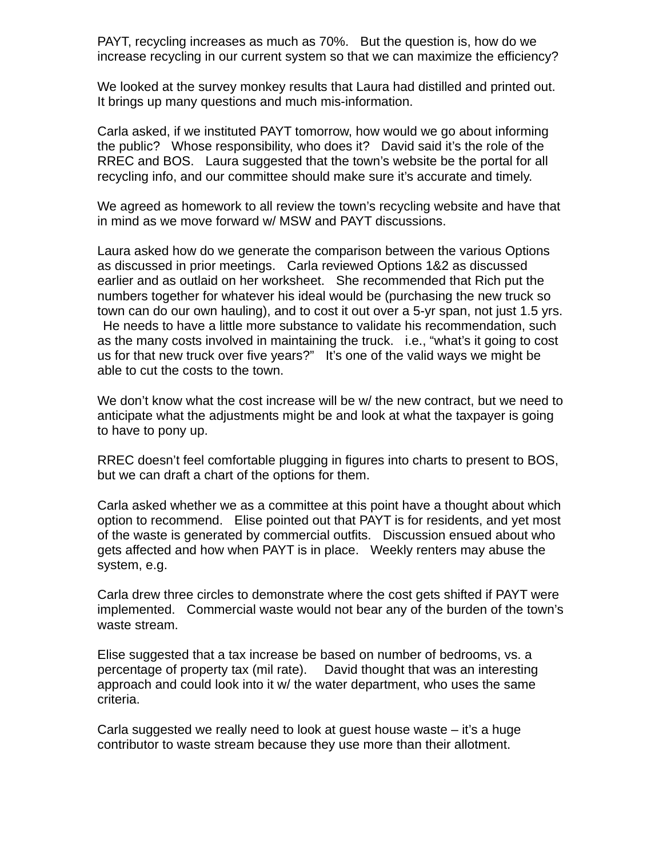PAYT, recycling increases as much as 70%. But the question is, how do we increase recycling in our current system so that we can maximize the efficiency?

We looked at the survey monkey results that Laura had distilled and printed out. It brings up many questions and much mis-information.

Carla asked, if we instituted PAYT tomorrow, how would we go about informing the public? Whose responsibility, who does it? David said it's the role of the RREC and BOS. Laura suggested that the town's website be the portal for all recycling info, and our committee should make sure it's accurate and timely.

We agreed as homework to all review the town's recycling website and have that in mind as we move forward w/ MSW and PAYT discussions.

Laura asked how do we generate the comparison between the various Options as discussed in prior meetings. Carla reviewed Options 1&2 as discussed earlier and as outlaid on her worksheet. She recommended that Rich put the numbers together for whatever his ideal would be (purchasing the new truck so town can do our own hauling), and to cost it out over a 5-yr span, not just 1.5 yrs. He needs to have a little more substance to validate his recommendation, such as the many costs involved in maintaining the truck. i.e., "what's it going to cost us for that new truck over five years?" It's one of the valid ways we might be able to cut the costs to the town.

We don't know what the cost increase will be w/ the new contract, but we need to anticipate what the adjustments might be and look at what the taxpayer is going to have to pony up.

RREC doesn't feel comfortable plugging in figures into charts to present to BOS, but we can draft a chart of the options for them.

Carla asked whether we as a committee at this point have a thought about which option to recommend. Elise pointed out that PAYT is for residents, and yet most of the waste is generated by commercial outfits. Discussion ensued about who gets affected and how when PAYT is in place. Weekly renters may abuse the system, e.g.

Carla drew three circles to demonstrate where the cost gets shifted if PAYT were implemented. Commercial waste would not bear any of the burden of the town's waste stream.

Elise suggested that a tax increase be based on number of bedrooms, vs. a percentage of property tax (mil rate). David thought that was an interesting approach and could look into it w/ the water department, who uses the same criteria.

Carla suggested we really need to look at guest house waste – it's a huge contributor to waste stream because they use more than their allotment.